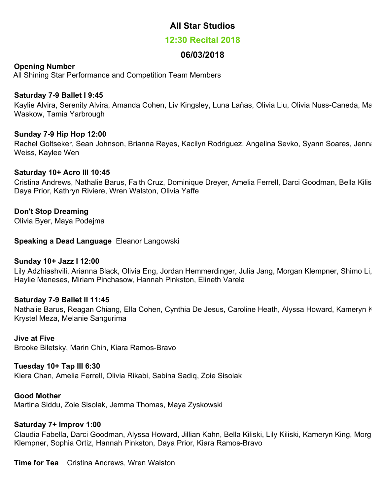# **All Star Studios**

# **12:30 Recital 2018**

# **06/03/2018**

# **Opening Number**

All Shining Star Performance and Competition Team Members

# **Saturday 7-9 Ballet I 9:45**

Kaylie Alvira, Serenity Alvira, Amanda Cohen, Liv Kingsley, Luna Lañas, Olivia Liu, Olivia Nuss-Caneda, Maya Waskow, Tamia Yarbrough

# **Sunday 7-9 Hip Hop 12:00**

Rachel Goltseker, Sean Johnson, Brianna Reyes, Kacilyn Rodriguez, Angelina Sevko, Syann Soares, Jenna Weiss, Kaylee Wen

# **Saturday 10+ Acro III 10:45**

Cristina Andrews, Nathalie Barus, Faith Cruz, Dominique Dreyer, Amelia Ferrell, Darci Goodman, Bella Kiliski, Daya Prior, Kathryn Riviere, Wren Walston, Olivia Yaffe

# **Don't Stop Dreaming**

Olivia Byer, Maya Podejma

**Speaking a Dead Language** Eleanor Langowski

#### **Sunday 10+ Jazz I 12:00**

Lily Adzhiashvili, Arianna Black, Olivia Eng, Jordan Hemmerdinger, Julia Jang, Morgan Klempner, Shimo Li, Haylie Meneses, Miriam Pinchasow, Hannah Pinkston, Elineth Varela

# **Saturday 7-9 Ballet II 11:45**

Nathalie Barus, Reagan Chiang, Ella Cohen, Cynthia De Jesus, Caroline Heath, Alyssa Howard, Kameryn k Krystel Meza, Melanie Sangurima

#### **Jive at Five**

Brooke Biletsky, Marin Chin, Kiara Ramos-Bravo

#### **Tuesday 10+ Tap III 6:30**

Kiera Chan, Amelia Ferrell, Olivia Rikabi, Sabina Sadiq, Zoie Sisolak

#### **Good Mother**

Martina Siddu, Zoie Sisolak, Jemma Thomas, Maya Zyskowski

# **Saturday 7+ Improv 1:00**

Claudia Fabella, Darci Goodman, Alyssa Howard, Jillian Kahn, Bella Kiliski, Lily Kiliski, Kameryn King, Morgan Klempner, Sophia Ortiz, Hannah Pinkston, Daya Prior, Kiara Ramos-Bravo

**Time for Tea** Cristina Andrews, Wren Walston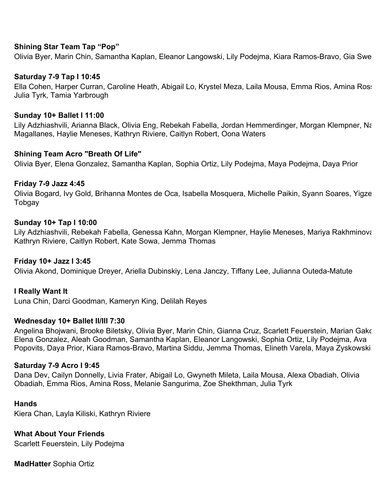#### **Shining Star Team Tap "Pop"**

Olivia Byer, Marin Chin, Samantha Kaplan, Eleanor Langowski, Lily Podejma, Kiara Ramos-Bravo, Gia Sweat

#### **Saturday 7-9 Tap I 10:45**

Ella Cohen, Harper Curran, Caroline Heath, Abigail Lo, Krystel Meza, Laila Mousa, Emma Rios, Amina Ross, Julia Tyrk, Tamia Yarbrough

#### **Sunday 10+ Ballet I 11:00**

Lily Adzhiashvili, Arianna Black, Olivia Eng, Rebekah Fabella, Jordan Hemmerdinger, Morgan Klempner, Na Magallanes, Haylie Meneses, Kathryn Riviere, Caitlyn Robert, Oona Waters

#### **Shining Team Acro "Breath Of Life"**

Olivia Byer, Elena Gonzalez, Samantha Kaplan, Sophia Ortiz, Lily Podejma, Maya Podejma, Daya Prior

#### **Friday 7-9 Jazz 4:45**

Olivia Bogard, Ivy Gold, Brihanna Montes de Oca, Isabella Mosquera, Michelle Paikin, Syann Soares, Yigzeen Tobgay

#### **Sunday 10+ Tap I 10:00**

Lily Adzhiashvili, Rebekah Fabella, Genessa Kahn, Morgan Klempner, Haylie Meneses, Mariya Rakhminova, Kathryn Riviere, Caitlyn Robert, Kate Sowa, Jemma Thomas

#### **Friday 10+ Jazz I 3:45**

Olivia Akond, Dominique Dreyer, Ariella Dubinskiy, Lena Janczy, Tiffany Lee, Julianna Outeda-Matute

# **I Really Want It**

Luna Chin, Darci Goodman, Kameryn King, Delilah Reyes

#### **Wednesday 10+ Ballet II/III 7:30**

Angelina Bhojwani, Brooke Biletsky, Olivia Byer, Marin Chin, Gianna Cruz, Scarlett Feuerstein, Marian Gako, Elena Gonzalez, Aleah Goodman, Samantha Kaplan, Eleanor Langowski, Sophia Ortiz, Lily Podejma, Ava Popovits, Daya Prior, Kiara Ramos-Bravo, Martina Siddu, Jemma Thomas, Elineth Varela, Maya Zyskowski

#### **Saturday 7-9 Acro I 9:45**

Dana Dev, Cailyn Donnelly, Livia Frater, Abigail Lo, Gwyneth Mileta, Laila Mousa, Alexa Obadiah, Olivia Obadiah, Emma Rios, Amina Ross, Melanie Sangurima, Zoe Shekthman, Julia Tyrk

#### **Hands**

Kiera Chan, Layla Kiliski, Kathryn Riviere

**What About Your Friends**  Scarlett Feuerstein, Lily Podejma

**MadHatter** Sophia Ortiz